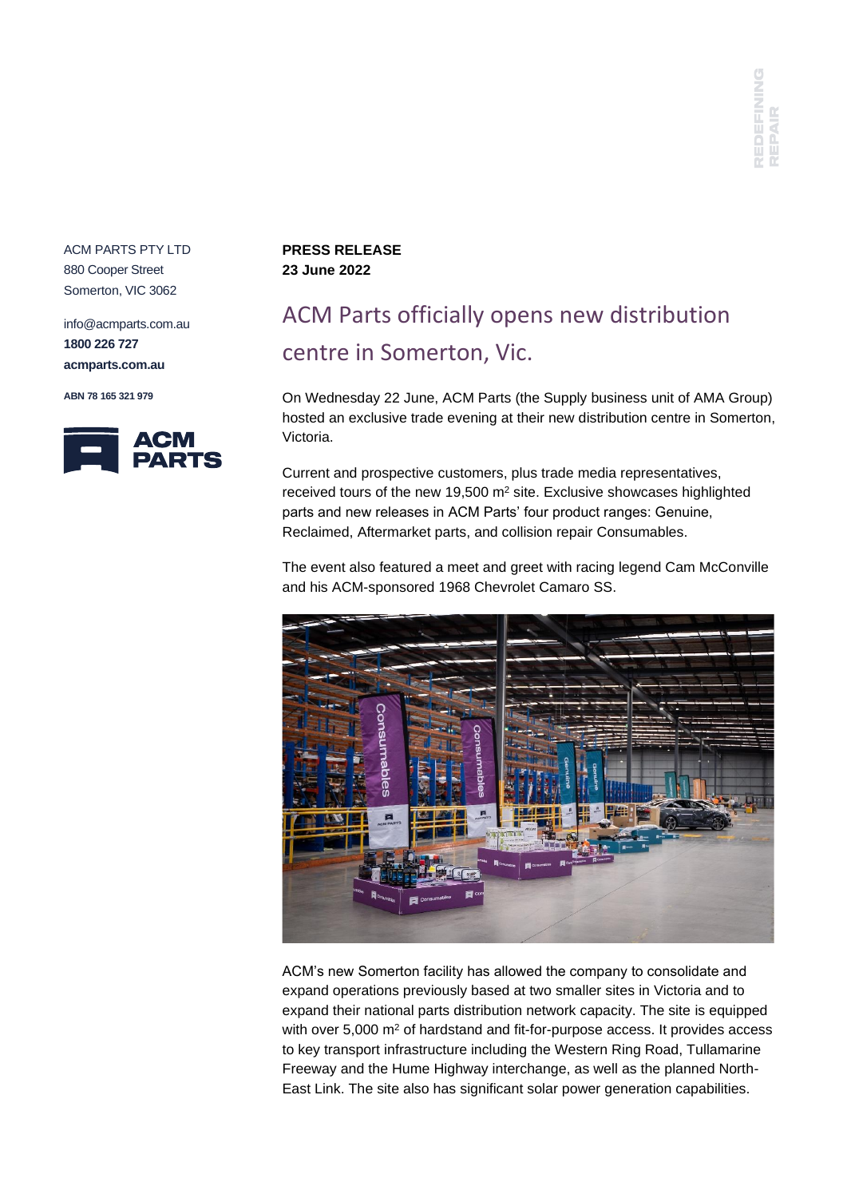ACM PARTS PTY LTD 880 Cooper Street Somerton, VIC 3062

info@acmparts.com.au **1800 226 727 acmparts.com.au**

**ABN 78 165 321 979**



## **PRESS RELEASE 23 June 2022**

## ACM Parts officially opens new distribution centre in Somerton, Vic.

On Wednesday 22 June, ACM Parts (the Supply business unit of AMA Group) hosted an exclusive trade evening at their new distribution centre in Somerton, Victoria.

Current and prospective customers, plus trade media representatives, received tours of the new 19,500 m<sup>2</sup> site. Exclusive showcases highlighted parts and new releases in ACM Parts' four product ranges: Genuine, Reclaimed, Aftermarket parts, and collision repair Consumables.

The event also featured a meet and greet with racing legend Cam McConville and his ACM-sponsored 1968 Chevrolet Camaro SS.



ACM's new Somerton facility has allowed the company to consolidate and expand operations previously based at two smaller sites in Victoria and to expand their national parts distribution network capacity. The site is equipped with over 5,000 m<sup>2</sup> of hardstand and fit-for-purpose access. It provides access to key transport infrastructure including the Western Ring Road, Tullamarine Freeway and the Hume Highway interchange, as well as the planned North-East Link. The site also has significant solar power generation capabilities.